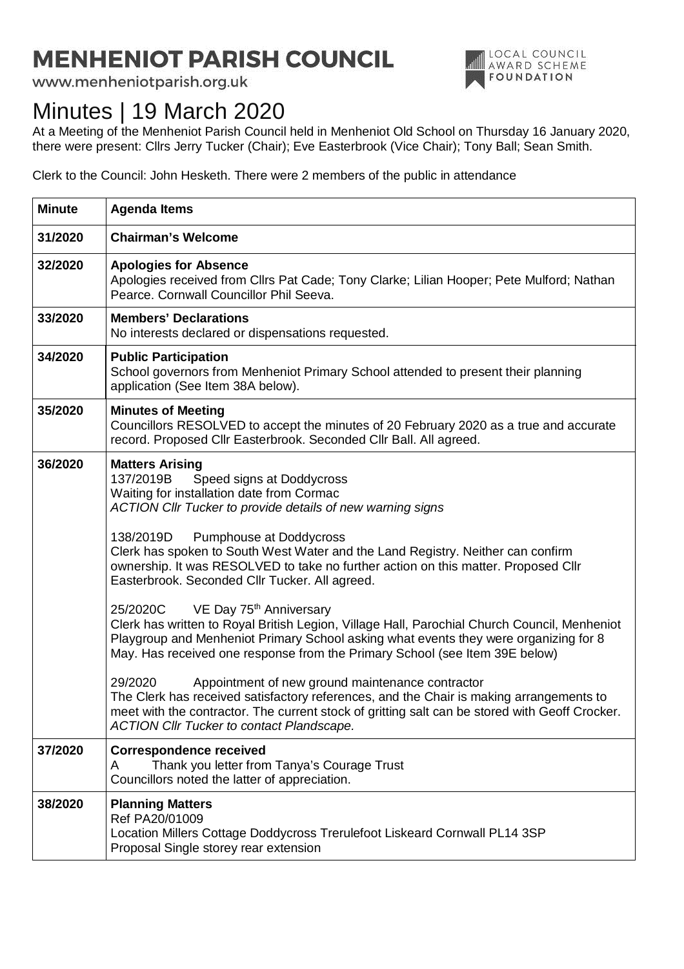## **MENHENIOT PARISH COUNCIL**

www.menheniotparish.org.uk



## Minutes | 19 March 2020

At a Meeting of the Menheniot Parish Council held in Menheniot Old School on Thursday 16 January 2020, there were present: Cllrs Jerry Tucker (Chair); Eve Easterbrook (Vice Chair); Tony Ball; Sean Smith.

Clerk to the Council: John Hesketh. There were 2 members of the public in attendance

| <b>Minute</b> | <b>Agenda Items</b>                                                                                                                                                                                                                                                                                                                                                                                                                                                                                                                                                                                                                                                                                                                                                                                                                                                                                                                                                                                                                                                                   |
|---------------|---------------------------------------------------------------------------------------------------------------------------------------------------------------------------------------------------------------------------------------------------------------------------------------------------------------------------------------------------------------------------------------------------------------------------------------------------------------------------------------------------------------------------------------------------------------------------------------------------------------------------------------------------------------------------------------------------------------------------------------------------------------------------------------------------------------------------------------------------------------------------------------------------------------------------------------------------------------------------------------------------------------------------------------------------------------------------------------|
| 31/2020       | <b>Chairman's Welcome</b>                                                                                                                                                                                                                                                                                                                                                                                                                                                                                                                                                                                                                                                                                                                                                                                                                                                                                                                                                                                                                                                             |
| 32/2020       | <b>Apologies for Absence</b><br>Apologies received from Cllrs Pat Cade; Tony Clarke; Lilian Hooper; Pete Mulford; Nathan<br>Pearce. Cornwall Councillor Phil Seeva.                                                                                                                                                                                                                                                                                                                                                                                                                                                                                                                                                                                                                                                                                                                                                                                                                                                                                                                   |
| 33/2020       | <b>Members' Declarations</b><br>No interests declared or dispensations requested.                                                                                                                                                                                                                                                                                                                                                                                                                                                                                                                                                                                                                                                                                                                                                                                                                                                                                                                                                                                                     |
| 34/2020       | <b>Public Participation</b><br>School governors from Menheniot Primary School attended to present their planning<br>application (See Item 38A below).                                                                                                                                                                                                                                                                                                                                                                                                                                                                                                                                                                                                                                                                                                                                                                                                                                                                                                                                 |
| 35/2020       | <b>Minutes of Meeting</b><br>Councillors RESOLVED to accept the minutes of 20 February 2020 as a true and accurate<br>record. Proposed Cllr Easterbrook. Seconded Cllr Ball. All agreed.                                                                                                                                                                                                                                                                                                                                                                                                                                                                                                                                                                                                                                                                                                                                                                                                                                                                                              |
| 36/2020       | <b>Matters Arising</b><br>137/2019B<br>Speed signs at Doddycross<br>Waiting for installation date from Cormac<br>ACTION Cllr Tucker to provide details of new warning signs<br>138/2019D<br>Pumphouse at Doddycross<br>Clerk has spoken to South West Water and the Land Registry. Neither can confirm<br>ownership. It was RESOLVED to take no further action on this matter. Proposed Cllr<br>Easterbrook. Seconded Cllr Tucker. All agreed.<br>25/2020C VE Day 75 <sup>th</sup> Anniversary<br>Clerk has written to Royal British Legion, Village Hall, Parochial Church Council, Menheniot<br>Playgroup and Menheniot Primary School asking what events they were organizing for 8<br>May. Has received one response from the Primary School (see Item 39E below)<br>29/2020<br>Appointment of new ground maintenance contractor<br>The Clerk has received satisfactory references, and the Chair is making arrangements to<br>meet with the contractor. The current stock of gritting salt can be stored with Geoff Crocker.<br><b>ACTION CIIr Tucker to contact Plandscape.</b> |
| 37/2020       | <b>Correspondence received</b><br>Thank you letter from Tanya's Courage Trust<br>A<br>Councillors noted the latter of appreciation.                                                                                                                                                                                                                                                                                                                                                                                                                                                                                                                                                                                                                                                                                                                                                                                                                                                                                                                                                   |
| 38/2020       | <b>Planning Matters</b><br>Ref PA20/01009<br>Location Millers Cottage Doddycross Trerulefoot Liskeard Cornwall PL14 3SP<br>Proposal Single storey rear extension                                                                                                                                                                                                                                                                                                                                                                                                                                                                                                                                                                                                                                                                                                                                                                                                                                                                                                                      |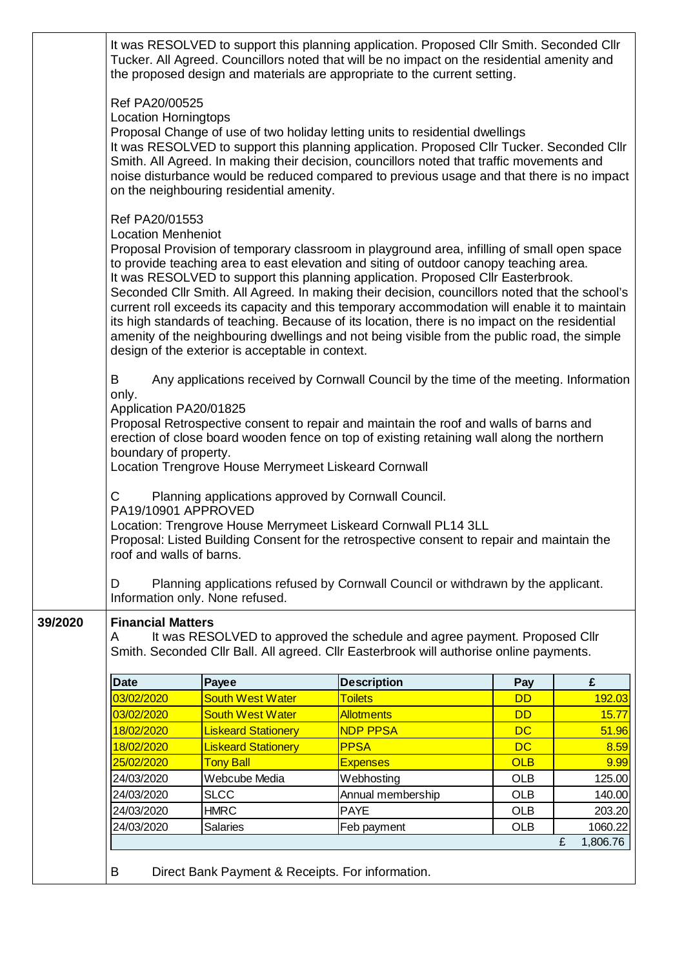|         | It was RESOLVED to support this planning application. Proposed Cllr Smith. Seconded Cllr<br>Tucker. All Agreed. Councillors noted that will be no impact on the residential amenity and<br>the proposed design and materials are appropriate to the current setting.                                                                                                                                                                                                                                                                                                                                                                                                                                                                                                                                                                                                                                                                                                                                                                                                                                                                                                                                                                                  |                                                     |                                                                                                                                                              |            |                          |  |  |
|---------|-------------------------------------------------------------------------------------------------------------------------------------------------------------------------------------------------------------------------------------------------------------------------------------------------------------------------------------------------------------------------------------------------------------------------------------------------------------------------------------------------------------------------------------------------------------------------------------------------------------------------------------------------------------------------------------------------------------------------------------------------------------------------------------------------------------------------------------------------------------------------------------------------------------------------------------------------------------------------------------------------------------------------------------------------------------------------------------------------------------------------------------------------------------------------------------------------------------------------------------------------------|-----------------------------------------------------|--------------------------------------------------------------------------------------------------------------------------------------------------------------|------------|--------------------------|--|--|
|         | Ref PA20/00525<br><b>Location Horningtops</b><br>Proposal Change of use of two holiday letting units to residential dwellings<br>It was RESOLVED to support this planning application. Proposed Cllr Tucker. Seconded Cllr<br>Smith. All Agreed. In making their decision, councillors noted that traffic movements and<br>noise disturbance would be reduced compared to previous usage and that there is no impact<br>on the neighbouring residential amenity.<br>Ref PA20/01553<br><b>Location Menheniot</b><br>Proposal Provision of temporary classroom in playground area, infilling of small open space<br>to provide teaching area to east elevation and siting of outdoor canopy teaching area.<br>It was RESOLVED to support this planning application. Proposed Cllr Easterbrook.<br>Seconded Cllr Smith. All Agreed. In making their decision, councillors noted that the school's<br>current roll exceeds its capacity and this temporary accommodation will enable it to maintain<br>its high standards of teaching. Because of its location, there is no impact on the residential<br>amenity of the neighbouring dwellings and not being visible from the public road, the simple<br>design of the exterior is acceptable in context. |                                                     |                                                                                                                                                              |            |                          |  |  |
|         |                                                                                                                                                                                                                                                                                                                                                                                                                                                                                                                                                                                                                                                                                                                                                                                                                                                                                                                                                                                                                                                                                                                                                                                                                                                       |                                                     |                                                                                                                                                              |            |                          |  |  |
|         | Any applications received by Cornwall Council by the time of the meeting. Information<br>B<br>only.<br>Application PA20/01825<br>Proposal Retrospective consent to repair and maintain the roof and walls of barns and<br>erection of close board wooden fence on top of existing retaining wall along the northern<br>boundary of property.<br>Location Trengrove House Merrymeet Liskeard Cornwall                                                                                                                                                                                                                                                                                                                                                                                                                                                                                                                                                                                                                                                                                                                                                                                                                                                  |                                                     |                                                                                                                                                              |            |                          |  |  |
|         | C<br>PA19/10901 APPROVED<br>roof and walls of barns.                                                                                                                                                                                                                                                                                                                                                                                                                                                                                                                                                                                                                                                                                                                                                                                                                                                                                                                                                                                                                                                                                                                                                                                                  | Planning applications approved by Cornwall Council. | Location: Trengrove House Merrymeet Liskeard Cornwall PL14 3LL<br>Proposal: Listed Building Consent for the retrospective consent to repair and maintain the |            |                          |  |  |
|         | D<br>Information only. None refused.                                                                                                                                                                                                                                                                                                                                                                                                                                                                                                                                                                                                                                                                                                                                                                                                                                                                                                                                                                                                                                                                                                                                                                                                                  |                                                     | Planning applications refused by Cornwall Council or withdrawn by the applicant.                                                                             |            |                          |  |  |
| 39/2020 | <b>Financial Matters</b><br>It was RESOLVED to approved the schedule and agree payment. Proposed Cllr<br>A<br>Smith. Seconded Cllr Ball. All agreed. Cllr Easterbrook will authorise online payments.                                                                                                                                                                                                                                                                                                                                                                                                                                                                                                                                                                                                                                                                                                                                                                                                                                                                                                                                                                                                                                                 |                                                     |                                                                                                                                                              |            |                          |  |  |
|         | <b>Date</b>                                                                                                                                                                                                                                                                                                                                                                                                                                                                                                                                                                                                                                                                                                                                                                                                                                                                                                                                                                                                                                                                                                                                                                                                                                           | Payee                                               | <b>Description</b>                                                                                                                                           | Pay        | £                        |  |  |
|         | 03/02/2020                                                                                                                                                                                                                                                                                                                                                                                                                                                                                                                                                                                                                                                                                                                                                                                                                                                                                                                                                                                                                                                                                                                                                                                                                                            | <b>South West Water</b>                             | <b>Toilets</b>                                                                                                                                               | <b>DD</b>  | 192.03                   |  |  |
|         | 03/02/2020                                                                                                                                                                                                                                                                                                                                                                                                                                                                                                                                                                                                                                                                                                                                                                                                                                                                                                                                                                                                                                                                                                                                                                                                                                            | <b>South West Water</b>                             | <b>Allotments</b>                                                                                                                                            | <b>DD</b>  | 15.77                    |  |  |
|         | 18/02/2020                                                                                                                                                                                                                                                                                                                                                                                                                                                                                                                                                                                                                                                                                                                                                                                                                                                                                                                                                                                                                                                                                                                                                                                                                                            | <b>Liskeard Stationery</b>                          | <b>NDP PPSA</b>                                                                                                                                              | <b>DC</b>  | 51.96                    |  |  |
|         | 18/02/2020                                                                                                                                                                                                                                                                                                                                                                                                                                                                                                                                                                                                                                                                                                                                                                                                                                                                                                                                                                                                                                                                                                                                                                                                                                            | <b>Liskeard Stationery</b>                          | <b>PPSA</b>                                                                                                                                                  | <b>DC</b>  | 8.59                     |  |  |
|         | 25/02/2020                                                                                                                                                                                                                                                                                                                                                                                                                                                                                                                                                                                                                                                                                                                                                                                                                                                                                                                                                                                                                                                                                                                                                                                                                                            | <b>Tony Ball</b>                                    | <b>Expenses</b>                                                                                                                                              | <b>OLB</b> | 9.99                     |  |  |
|         | 24/03/2020                                                                                                                                                                                                                                                                                                                                                                                                                                                                                                                                                                                                                                                                                                                                                                                                                                                                                                                                                                                                                                                                                                                                                                                                                                            | Webcube Media                                       | Webhosting                                                                                                                                                   | <b>OLB</b> | 125.00                   |  |  |
|         | 24/03/2020                                                                                                                                                                                                                                                                                                                                                                                                                                                                                                                                                                                                                                                                                                                                                                                                                                                                                                                                                                                                                                                                                                                                                                                                                                            | <b>SLCC</b>                                         | Annual membership                                                                                                                                            | <b>OLB</b> | 140.00                   |  |  |
|         | 24/03/2020                                                                                                                                                                                                                                                                                                                                                                                                                                                                                                                                                                                                                                                                                                                                                                                                                                                                                                                                                                                                                                                                                                                                                                                                                                            | <b>HMRC</b>                                         | <b>PAYE</b>                                                                                                                                                  | <b>OLB</b> | 203.20                   |  |  |
|         | 24/03/2020                                                                                                                                                                                                                                                                                                                                                                                                                                                                                                                                                                                                                                                                                                                                                                                                                                                                                                                                                                                                                                                                                                                                                                                                                                            | Salaries                                            | Feb payment                                                                                                                                                  | <b>OLB</b> | 1060.22<br>1,806.76<br>£ |  |  |
|         |                                                                                                                                                                                                                                                                                                                                                                                                                                                                                                                                                                                                                                                                                                                                                                                                                                                                                                                                                                                                                                                                                                                                                                                                                                                       |                                                     |                                                                                                                                                              |            |                          |  |  |
|         | Direct Bank Payment & Receipts. For information.<br>B                                                                                                                                                                                                                                                                                                                                                                                                                                                                                                                                                                                                                                                                                                                                                                                                                                                                                                                                                                                                                                                                                                                                                                                                 |                                                     |                                                                                                                                                              |            |                          |  |  |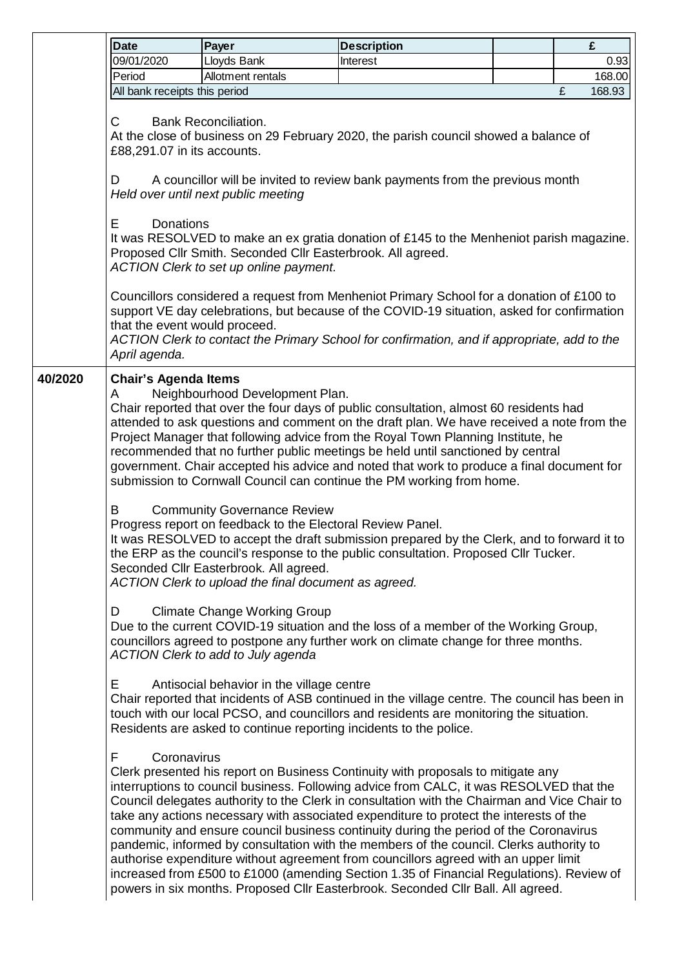|         | <b>Date</b>                                                                                                                                                                                                                                                                                                                                                                                                                                                                                                                                                                                             | Payer                                                                                                                                                                                              | <b>Description</b>                                                                                                                                                                                                                                                                                                                                                                                                                                                                                                                                                                                                                                                                                                                                                                                                               |  | £           |  |  |
|---------|---------------------------------------------------------------------------------------------------------------------------------------------------------------------------------------------------------------------------------------------------------------------------------------------------------------------------------------------------------------------------------------------------------------------------------------------------------------------------------------------------------------------------------------------------------------------------------------------------------|----------------------------------------------------------------------------------------------------------------------------------------------------------------------------------------------------|----------------------------------------------------------------------------------------------------------------------------------------------------------------------------------------------------------------------------------------------------------------------------------------------------------------------------------------------------------------------------------------------------------------------------------------------------------------------------------------------------------------------------------------------------------------------------------------------------------------------------------------------------------------------------------------------------------------------------------------------------------------------------------------------------------------------------------|--|-------------|--|--|
|         | 09/01/2020                                                                                                                                                                                                                                                                                                                                                                                                                                                                                                                                                                                              | Lloyds Bank                                                                                                                                                                                        | Interest                                                                                                                                                                                                                                                                                                                                                                                                                                                                                                                                                                                                                                                                                                                                                                                                                         |  | 0.93        |  |  |
|         | Period                                                                                                                                                                                                                                                                                                                                                                                                                                                                                                                                                                                                  | Allotment rentals                                                                                                                                                                                  |                                                                                                                                                                                                                                                                                                                                                                                                                                                                                                                                                                                                                                                                                                                                                                                                                                  |  | 168.00      |  |  |
|         | All bank receipts this period                                                                                                                                                                                                                                                                                                                                                                                                                                                                                                                                                                           |                                                                                                                                                                                                    |                                                                                                                                                                                                                                                                                                                                                                                                                                                                                                                                                                                                                                                                                                                                                                                                                                  |  | 168.93<br>£ |  |  |
|         | C<br><b>Bank Reconciliation.</b><br>At the close of business on 29 February 2020, the parish council showed a balance of<br>£88,291.07 in its accounts.                                                                                                                                                                                                                                                                                                                                                                                                                                                 |                                                                                                                                                                                                    |                                                                                                                                                                                                                                                                                                                                                                                                                                                                                                                                                                                                                                                                                                                                                                                                                                  |  |             |  |  |
|         | A councillor will be invited to review bank payments from the previous month<br>D<br>Held over until next public meeting                                                                                                                                                                                                                                                                                                                                                                                                                                                                                |                                                                                                                                                                                                    |                                                                                                                                                                                                                                                                                                                                                                                                                                                                                                                                                                                                                                                                                                                                                                                                                                  |  |             |  |  |
|         | E<br>Donations<br>It was RESOLVED to make an ex gratia donation of £145 to the Menheniot parish magazine.<br>Proposed Cllr Smith. Seconded Cllr Easterbrook. All agreed.<br>ACTION Clerk to set up online payment.                                                                                                                                                                                                                                                                                                                                                                                      |                                                                                                                                                                                                    |                                                                                                                                                                                                                                                                                                                                                                                                                                                                                                                                                                                                                                                                                                                                                                                                                                  |  |             |  |  |
|         | that the event would proceed.<br>April agenda.                                                                                                                                                                                                                                                                                                                                                                                                                                                                                                                                                          |                                                                                                                                                                                                    | Councillors considered a request from Menheniot Primary School for a donation of £100 to<br>support VE day celebrations, but because of the COVID-19 situation, asked for confirmation<br>ACTION Clerk to contact the Primary School for confirmation, and if appropriate, add to the                                                                                                                                                                                                                                                                                                                                                                                                                                                                                                                                            |  |             |  |  |
| 40/2020 | <b>Chair's Agenda Items</b><br>Neighbourhood Development Plan.<br>A<br>Chair reported that over the four days of public consultation, almost 60 residents had<br>attended to ask questions and comment on the draft plan. We have received a note from the<br>Project Manager that following advice from the Royal Town Planning Institute, he<br>recommended that no further public meetings be held until sanctioned by central<br>government. Chair accepted his advice and noted that work to produce a final document for<br>submission to Cornwall Council can continue the PM working from home. |                                                                                                                                                                                                    |                                                                                                                                                                                                                                                                                                                                                                                                                                                                                                                                                                                                                                                                                                                                                                                                                                  |  |             |  |  |
|         | B                                                                                                                                                                                                                                                                                                                                                                                                                                                                                                                                                                                                       | <b>Community Governance Review</b><br>Progress report on feedback to the Electoral Review Panel.<br>Seconded Cllr Easterbrook. All agreed.<br>ACTION Clerk to upload the final document as agreed. | It was RESOLVED to accept the draft submission prepared by the Clerk, and to forward it to<br>the ERP as the council's response to the public consultation. Proposed Cllr Tucker.                                                                                                                                                                                                                                                                                                                                                                                                                                                                                                                                                                                                                                                |  |             |  |  |
|         | D                                                                                                                                                                                                                                                                                                                                                                                                                                                                                                                                                                                                       | <b>Climate Change Working Group</b><br><b>ACTION Clerk to add to July agenda</b>                                                                                                                   | Due to the current COVID-19 situation and the loss of a member of the Working Group,<br>councillors agreed to postpone any further work on climate change for three months.                                                                                                                                                                                                                                                                                                                                                                                                                                                                                                                                                                                                                                                      |  |             |  |  |
|         | E                                                                                                                                                                                                                                                                                                                                                                                                                                                                                                                                                                                                       | Antisocial behavior in the village centre                                                                                                                                                          | Chair reported that incidents of ASB continued in the village centre. The council has been in<br>touch with our local PCSO, and councillors and residents are monitoring the situation.<br>Residents are asked to continue reporting incidents to the police.                                                                                                                                                                                                                                                                                                                                                                                                                                                                                                                                                                    |  |             |  |  |
|         | F<br>Coronavirus                                                                                                                                                                                                                                                                                                                                                                                                                                                                                                                                                                                        |                                                                                                                                                                                                    | Clerk presented his report on Business Continuity with proposals to mitigate any<br>interruptions to council business. Following advice from CALC, it was RESOLVED that the<br>Council delegates authority to the Clerk in consultation with the Chairman and Vice Chair to<br>take any actions necessary with associated expenditure to protect the interests of the<br>community and ensure council business continuity during the period of the Coronavirus<br>pandemic, informed by consultation with the members of the council. Clerks authority to<br>authorise expenditure without agreement from councillors agreed with an upper limit<br>increased from £500 to £1000 (amending Section 1.35 of Financial Regulations). Review of<br>powers in six months. Proposed Cllr Easterbrook. Seconded Cllr Ball. All agreed. |  |             |  |  |